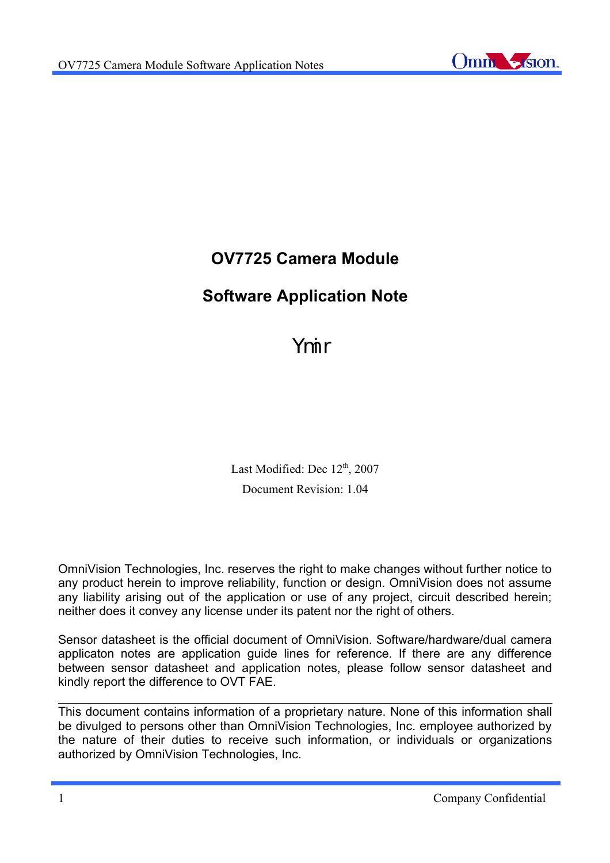

# **OV7725 Camera Module**

# **Software Application Note**

Ymir

Last Modified: Dec 12<sup>th</sup>, 2007 Document Revision: 1.04

OmniVision Technologies, Inc. reserves the right to make changes without further notice to any product herein to improve reliability, function or design. OmniVision does not assume any liability arising out of the application or use of any project, circuit described herein; neither does it convey any license under its patent nor the right of others.

Sensor datasheet is the official document of OmniVision. Software/hardware/dual camera applicaton notes are application guide lines for reference. If there are any difference between sensor datasheet and application notes, please follow sensor datasheet and kindly report the difference to OVT FAE.

This document contains information of a proprietary nature. None of this information shall be divulged to persons other than OmniVision Technologies, Inc. employee authorized by the nature of their duties to receive such information, or individuals or organizations authorized by OmniVision Technologies, Inc.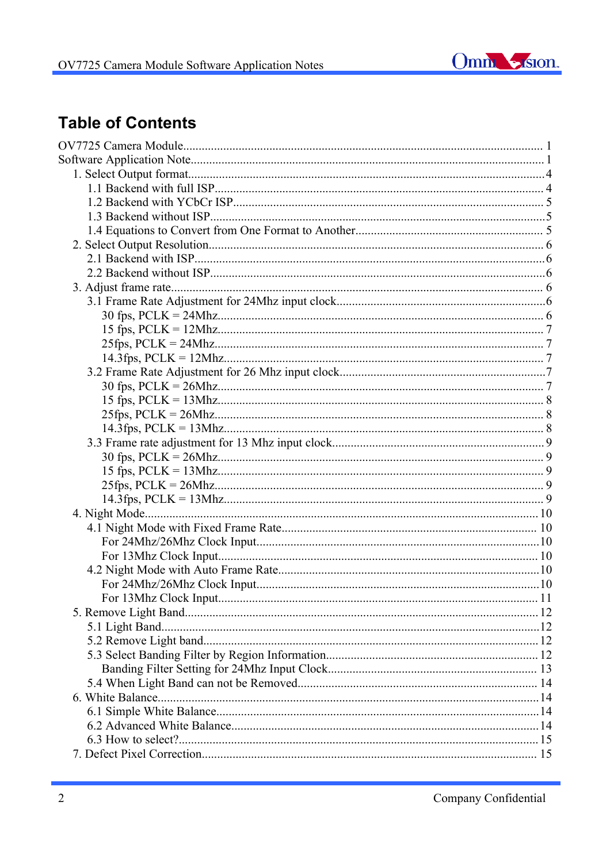

# **Table of Contents**

| 11 |  |
|----|--|
|    |  |
|    |  |
|    |  |
|    |  |
|    |  |
|    |  |
|    |  |
|    |  |
|    |  |
|    |  |
|    |  |
|    |  |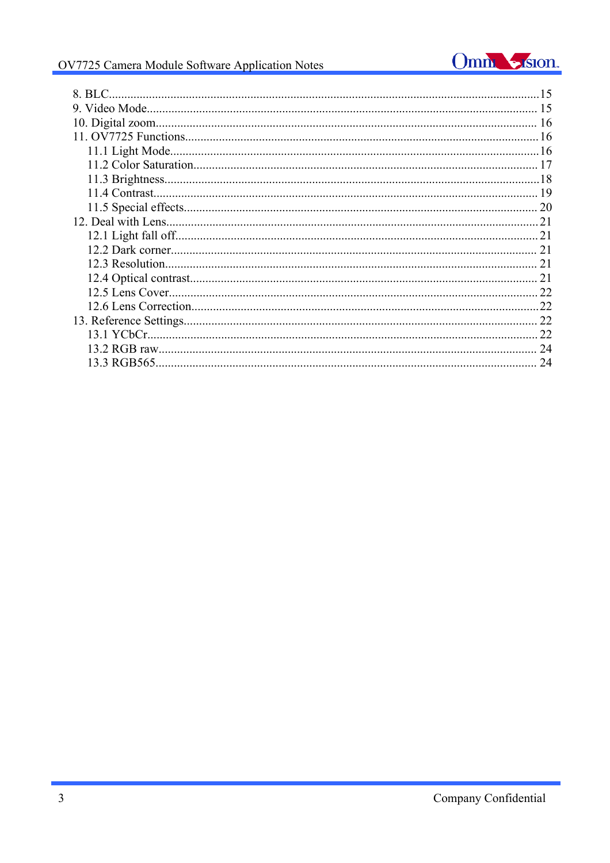# Omm Sistem

# OV7725 Camera Module Software Application Notes

| 8. BLC. |    |
|---------|----|
|         |    |
|         |    |
|         |    |
|         |    |
|         |    |
|         |    |
|         |    |
|         | 20 |
|         | 21 |
|         | 21 |
|         | 21 |
|         | 21 |
|         | 21 |
|         | 22 |
|         | 22 |
|         | 22 |
|         | 22 |
|         | 24 |
|         | 24 |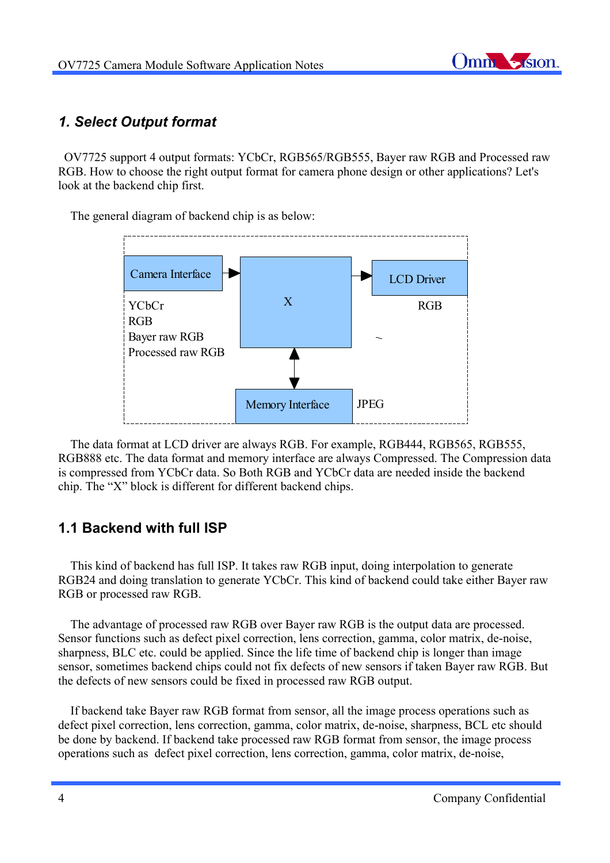

# *1. Select Output format*

 OV7725 support 4 output formats: YCbCr, RGB565/RGB555, Bayer raw RGB and Processed raw RGB. How to choose the right output format for camera phone design or other applications? Let's look at the backend chip first.

The general diagram of backend chip is as below:



 The data format at LCD driver are always RGB. For example, RGB444, RGB565, RGB555, RGB888 etc. The data format and memory interface are always Compressed. The Compression data is compressed from YCbCr data. So Both RGB and YCbCr data are needed inside the backend chip. The "X" block is different for different backend chips.

# **1.1 Backend with full ISP**

 This kind of backend has full ISP. It takes raw RGB input, doing interpolation to generate RGB24 and doing translation to generate YCbCr. This kind of backend could take either Bayer raw RGB or processed raw RGB.

 The advantage of processed raw RGB over Bayer raw RGB is the output data are processed. Sensor functions such as defect pixel correction, lens correction, gamma, color matrix, de-noise, sharpness, BLC etc. could be applied. Since the life time of backend chip is longer than image sensor, sometimes backend chips could not fix defects of new sensors if taken Bayer raw RGB. But the defects of new sensors could be fixed in processed raw RGB output.

 If backend take Bayer raw RGB format from sensor, all the image process operations such as defect pixel correction, lens correction, gamma, color matrix, de-noise, sharpness, BCL etc should be done by backend. If backend take processed raw RGB format from sensor, the image process operations such as defect pixel correction, lens correction, gamma, color matrix, de-noise,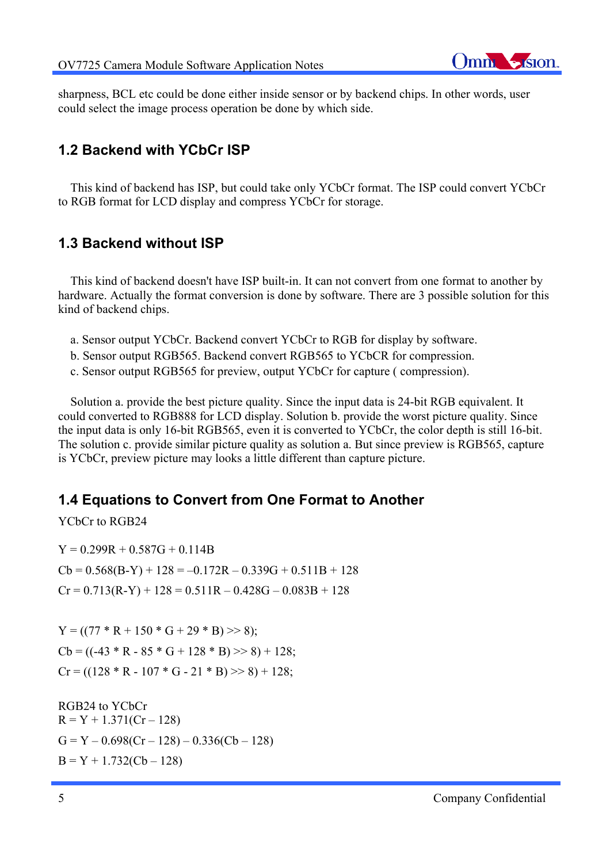

sharpness, BCL etc could be done either inside sensor or by backend chips. In other words, user could select the image process operation be done by which side.

### **1.2 Backend with YCbCr ISP**

 This kind of backend has ISP, but could take only YCbCr format. The ISP could convert YCbCr to RGB format for LCD display and compress YCbCr for storage.

### **1.3 Backend without ISP**

 This kind of backend doesn't have ISP built-in. It can not convert from one format to another by hardware. Actually the format conversion is done by software. There are 3 possible solution for this kind of backend chips.

- a. Sensor output YCbCr. Backend convert YCbCr to RGB for display by software.
- b. Sensor output RGB565. Backend convert RGB565 to YCbCR for compression.
- c. Sensor output RGB565 for preview, output YCbCr for capture ( compression).

 Solution a. provide the best picture quality. Since the input data is 24-bit RGB equivalent. It could converted to RGB888 for LCD display. Solution b. provide the worst picture quality. Since the input data is only 16-bit RGB565, even it is converted to YCbCr, the color depth is still 16-bit. The solution c. provide similar picture quality as solution a. But since preview is RGB565, capture is YCbCr, preview picture may looks a little different than capture picture.

### **1.4 Equations to Convert from One Format to Another**

YCbCr to RGB24

 $Y = 0.299R + 0.587G + 0.114B$  $Cb = 0.568(B-Y) + 128 = -0.172R - 0.339G + 0.511B + 128$  $Cr = 0.713(R - Y) + 128 = 0.511R - 0.428G - 0.083B + 128$ 

 $Y = ((77 * R + 150 * G + 29 * B) >> 8);$  $Cb = ((-43 * R - 85 * G + 128 * B) >> 8) + 128;$  $Cr = ((128 * R - 107 * G - 21 * B) >> 8) + 128;$ 

RGB24 to YCbCr  $R = Y + 1.371(Cr - 128)$  $G = Y - 0.698(Cr - 128) - 0.336(Cb - 128)$  $B = Y + 1.732(Cb - 128)$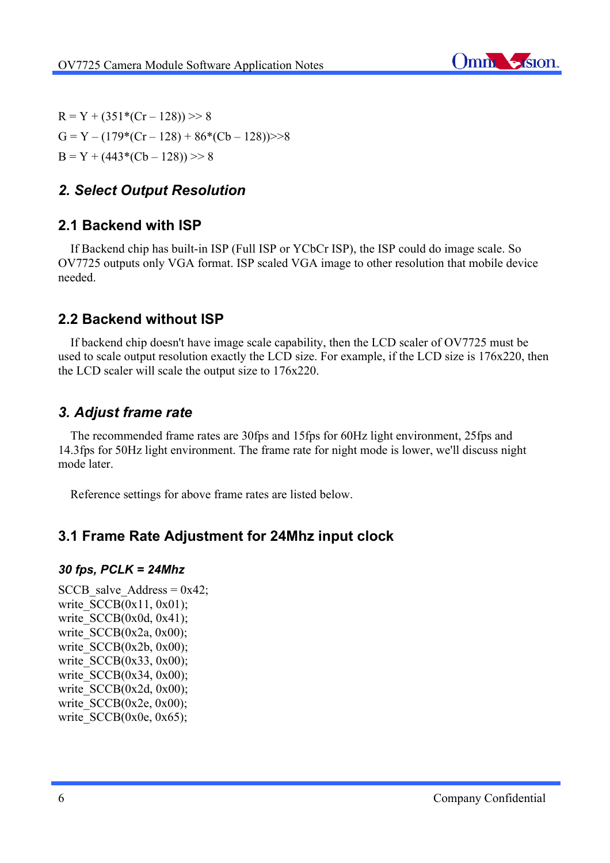

 $R = Y + (351*(Cr - 128)) >> 8$  $G = Y - (179*(Cr - 128) + 86*(Cb - 128)) > 8$  $B = Y + (443*(Cb - 128)) >> 8$ 

# *2. Select Output Resolution*

### **2.1 Backend with ISP**

 If Backend chip has built-in ISP (Full ISP or YCbCr ISP), the ISP could do image scale. So OV7725 outputs only VGA format. ISP scaled VGA image to other resolution that mobile device needed.

# **2.2 Backend without ISP**

 If backend chip doesn't have image scale capability, then the LCD scaler of OV7725 must be used to scale output resolution exactly the LCD size. For example, if the LCD size is 176x220, then the LCD scaler will scale the output size to 176x220.

### *3. Adjust frame rate*

 The recommended frame rates are 30fps and 15fps for 60Hz light environment, 25fps and 14.3fps for 50Hz light environment. The frame rate for night mode is lower, we'll discuss night mode later.

Reference settings for above frame rates are listed below.

### **3.1 Frame Rate Adjustment for 24Mhz input clock**

#### *30 fps, PCLK = 24Mhz*

SCCB salve Address =  $0x42$ ; write  $SCCB(0x11, 0x01);$ write  $SCCB(0x0d, 0x41);$ write  $SCCB(0x2a, 0x00);$ write  $SCCB(0x2b, 0x00)$ ; write SCCB(0x33, 0x00); write  $SCCB(0x34, 0x00)$ ; write  $SCCB(0x2d, 0x00)$ ; write  $SCCB(0x2e, 0x00);$ write  $SCCB(0x0e, 0x65);$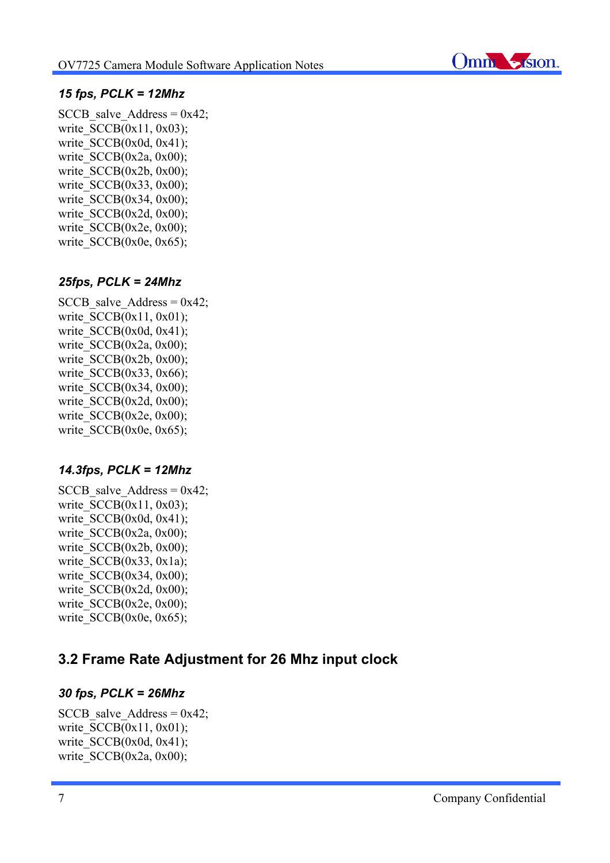

### *15 fps, PCLK = 12Mhz*

SCCB salve Address =  $0x42$ ; write  $SCCB(0x11, 0x03)$ ; write  $SCCB(0x0d, 0x41)$ ; write  $SCCB(0x2a, 0x00)$ ; write  $SCCB(0x2b, 0x00)$ ; write  $SCCB(0x33, 0x00)$ ; write  $SCCB(0x34, 0x00)$ ; write  $SCCB(0x2d, 0x00)$ ; write  $SCCB(0x2e, 0x00);$ write  $SCCB(0x0e, 0x65);$ 

### *25fps, PCLK = 24Mhz*

SCCB salve Address =  $0x42$ ; write  $SCCB(0x11, 0x01)$ ; write  $SCCB(0x0d, 0x41);$ write  $SCCB(0x2a, 0x00);$ write  $SCCB(0x2b, 0x00)$ ; write  $SCCB(0x33, 0x66)$ ; write SCCB(0x34, 0x00); write  $SCCB(0x2d, 0x00)$ ; write  $SCCB(0x2e, 0x00);$ write  $SCCB(0x0e, 0x65);$ 

#### *14.3fps, PCLK = 12Mhz*

SCCB salve Address =  $0x42$ ; write  $SCCB(0x11, 0x03)$ ; write  $SCCB(0x0d, 0x41);$ write  $SCCB(0x2a, 0x00)$ ; write  $SCCB(0x2b, 0x00)$ ; write  $SCCB(0x33, 0x1a)$ ; write  $SCCB(0x34, 0x00)$ ; write  $SCCB(0x2d, 0x00)$ ; write  $SCCB(0x2e, 0x00)$ ; write  $SCCB(0x0e, 0x65)$ ;

# **3.2 Frame Rate Adjustment for 26 Mhz input clock**

#### *30 fps, PCLK = 26Mhz*

```
SCCB salve Address = 0x42;
write SCCB(0x11, 0x01);
write SCCB(0x0d, 0x41);write SCCB(0x2a, 0x00);
```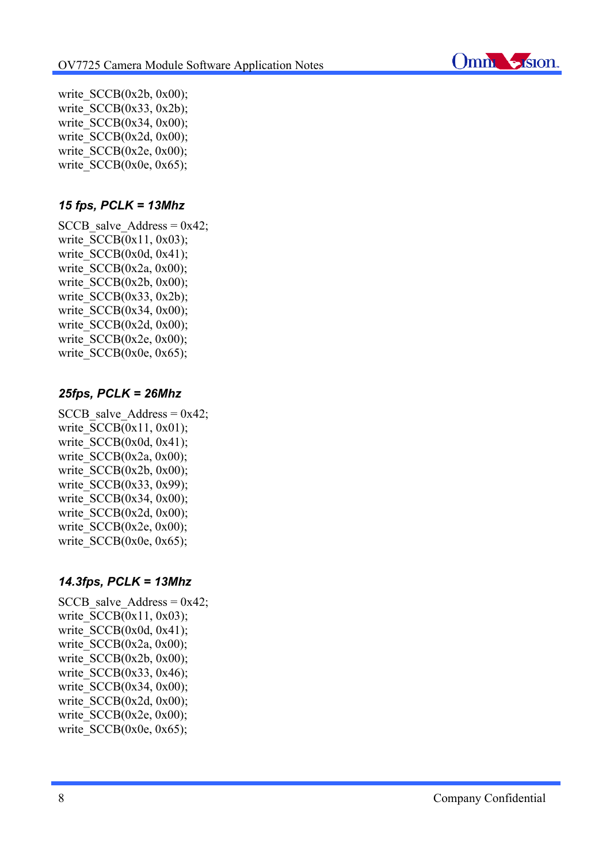

write  $SCCB(0x2b, 0x00)$ ; write  $SCCB(0x33, 0x2b)$ ; write  $SCCB(0x34, 0x00)$ ; write  $SCCB(0x2d, 0x00)$ ; write  $SCCB(0x2e, 0x00);$ write  $SCCB(0x0e, 0x65);$ 

### *15 fps, PCLK = 13Mhz*

SCCB salve Address =  $0x42$ ; write  $SCCB(0x11, 0x03)$ ; write  $SCCB(0x0d, 0x41);$ write  $SCCB(0x2a, 0x00);$ write  $SCCB(0x2b, 0x00)$ ; write  $SCCB(0x33, 0x2b)$ ; write  $SCCB(0x34, 0x00)$ ; write  $SCCB(0x2d, 0x00)$ ; write  $SCCB(0x2e, 0x00)$ ; write  $SCCB(0x0e, 0x65);$ 

### *25fps, PCLK = 26Mhz*

SCCB salve Address =  $0x42$ ; write  $SCCB(0x11, 0x01);$ write  $SCCB(0x0d, 0x41);$ write  $SCCB(0x2a, 0x00)$ ; write  $SCCB(0x2b, 0x00)$ ; write  $SCCB(0x33, 0x99)$ ; write  $SCCB(0x34, 0x00)$ ; write  $SCCB(0x2d, 0x00)$ ; write  $SCCB(0x2e, 0x00);$ write  $SCCB(0x0e, 0x65);$ 

### *14.3fps, PCLK = 13Mhz*

SCCB salve Address =  $0x42$ ; write  $SCCB(0x11, 0x03)$ ; write  $SCCB(0x0d, 0x41);$ write  $SCCB(0x2a, 0x00)$ ; write  $SCCB(0x2b, 0x00)$ ; write  $SCCB(0x33, 0x46)$ ; write  $SCCB(0x34, 0x00)$ ; write  $SCCB(0x2d, 0x00)$ : write  $SCCB(0x2e, 0x00)$ ; write  $SCCB(0x0e, 0x65);$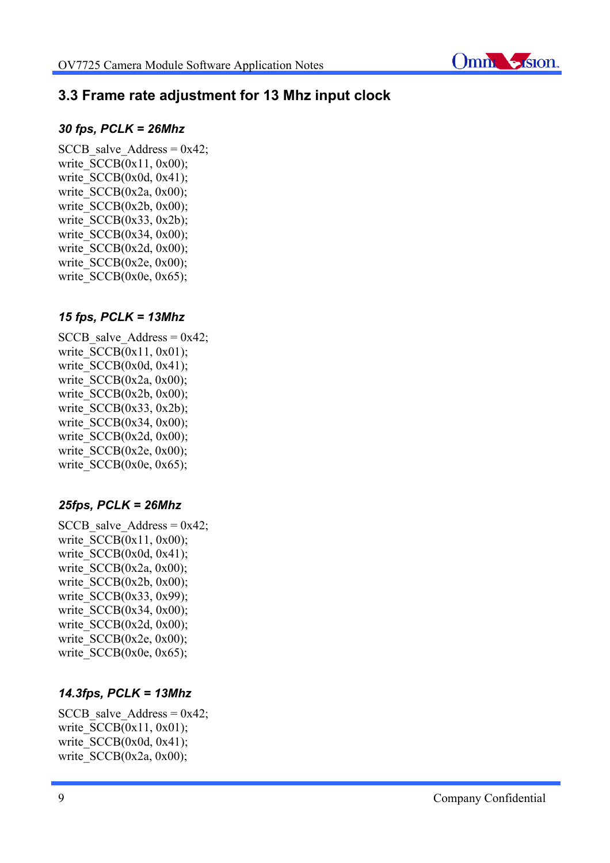

# **3.3 Frame rate adjustment for 13 Mhz input clock**

#### *30 fps, PCLK = 26Mhz*

SCCB salve Address =  $0x42$ ; write  $SCCB(0x11, 0x00)$ ; write  $SCCB(0x0d, 0x41);$ write  $SCCB(0x2a, 0x00)$ ; write  $SCCB(0x2b, 0x00)$ ; write  $SCCB(0x33, 0x2b)$ ; write  $SCCB(0x34, 0x00)$ ; write  $SCCB(0x2d, 0x00)$ ; write  $SCCB(0x2e, 0x00)$ ; write  $SCCB(0x0e, 0x65);$ 

### *15 fps, PCLK = 13Mhz*

SCCB salve Address =  $0x42$ ; write  $SCCB(0x11, 0x01);$ write  $SCCB(0x0d, 0x41);$ write  $SCCB(0x2a, 0x00)$ ; write  $SCCB(0x2b, 0x00)$ ; write  $SCCB(0x33, 0x2b)$ ; write  $SCCB(0x34, 0x00)$ ; write  $SCCB(0x2d, 0x00)$ ; write  $SCCB(0x2e, 0x00);$ write  $SCCB(0x0e, 0x65);$ 

### *25fps, PCLK = 26Mhz*

SCCB salve Address =  $0x42$ ; write  $SCCB(0x11, 0x00)$ ; write  $SCCB(0x0d, 0x41);$ write  $SCCB(0x2a, 0x00)$ ; write  $SCCB(0x2b, 0x00)$ ; write  $SCCB(0x33, 0x99)$ ; write SCCB(0x34, 0x00); write  $SCCB(0x2d, 0x00)$ ; write  $SCCB(0x2e, 0x00)$ ; write  $SCCB(0x0e, 0x65);$ 

### *14.3fps, PCLK = 13Mhz*

SCCB salve Address =  $0x42$ ; write  $SCCB(0x11, 0x01)$ ; write  $SCCB(0x0d, 0x41);$ write  $SCCB(0x2a, 0x00)$ ;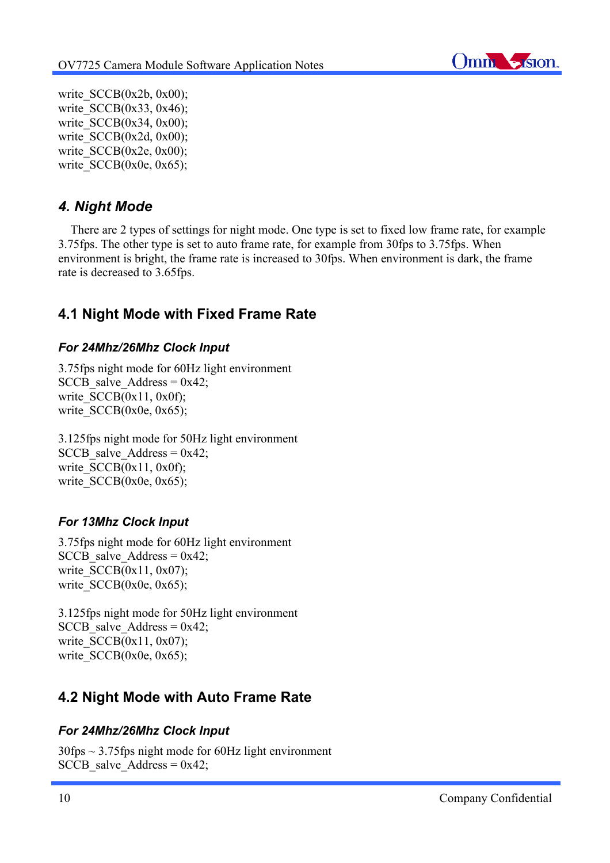

write  $SCCB(0x2b, 0x00);$ write  $SCCB(0x33, 0x46)$ ; write  $SCCB(0x34, 0x00)$ ; write  $SCCB(0x2d, 0x00)$ ; write  $SCCB(0x2e, 0x00);$ write  $SCCB(0x0e, 0x65);$ 

# *4. Night Mode*

 There are 2 types of settings for night mode. One type is set to fixed low frame rate, for example 3.75fps. The other type is set to auto frame rate, for example from 30fps to 3.75fps. When environment is bright, the frame rate is increased to 30fps. When environment is dark, the frame rate is decreased to 3.65fps.

# **4.1 Night Mode with Fixed Frame Rate**

### *For 24Mhz/26Mhz Clock Input*

3.75fps night mode for 60Hz light environment SCCB salve Address =  $0x42$ ; write  $SCCB(0x11, 0x0f)$ ; write  $SCCB(0x0e, 0x65);$ 

3.125fps night mode for 50Hz light environment SCCB salve Address =  $0x42$ ; write  $SCCB(0x11, 0x0f)$ ; write  $SCCB(0x0e, 0x65);$ 

### *For 13Mhz Clock Input*

3.75fps night mode for 60Hz light environment SCCB salve Address =  $0x42$ ; write  $SCCB(0x11, 0x07)$ ; write  $SCCB(0x0e, 0x65);$ 

3.125fps night mode for 50Hz light environment SCCB salve Address =  $0x42$ ; write  $SCCB(0x11, 0x07)$ ; write  $SCCB(0x0e, 0x65);$ 

# **4.2 Night Mode with Auto Frame Rate**

### *For 24Mhz/26Mhz Clock Input*

30fps ~ 3.75fps night mode for 60Hz light environment SCCB salve Address =  $0x42$ ;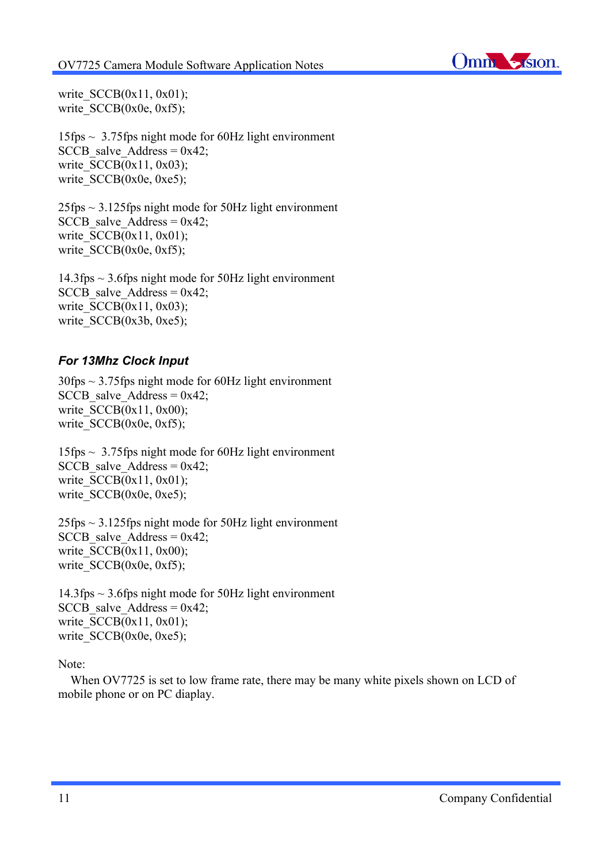

write  $SCCB(0x11, 0x01);$ write  $SCCB(0x0e, 0xf5);$ 

15fps ~ 3.75fps night mode for 60Hz light environment SCCB salve Address =  $0x42$ ; write  $SCCB(0x11, 0x03)$ ; write  $SCCB(0x0e, 0xe5)$ ;

 $25$ fps  $\sim$  3.125fps night mode for 50Hz light environment SCCB salve Address =  $0x42$ ; write  $SCCB(0x11, 0x01)$ ; write  $SCCB(0x0e, 0xf5);$ 

14.3fps ~ 3.6fps night mode for 50Hz light environment SCCB salve Address =  $0x42$ ; write  $SCCB(0x11, 0x03)$ ; write  $SCCB(0x3b, 0xe5)$ ;

#### *For 13Mhz Clock Input*

 $30$ fps  $\sim$  3.75fps night mode for 60Hz light environment SCCB salve Address =  $0x42$ ; write  $SCCB(0x11, 0x00)$ ; write  $SCCB(0x0e, 0xf5);$ 

15fps ~ 3.75fps night mode for 60Hz light environment SCCB salve Address =  $0x42$ ; write  $SCCB(0x11, 0x01)$ ; write SCCB(0x0e, 0xe5);

 $25$ fps  $\sim$  3.125fps night mode for 50Hz light environment SCCB salve Address =  $0x42$ ; write  $SCCB(0x11, 0x00)$ ; write  $SCCB(0x0e, 0xf5);$ 

14.3fps ~ 3.6fps night mode for 50Hz light environment SCCB salve Address =  $0x42$ ; write  $SCCB(0x11, 0x01)$ ; write  $SCCB(0x0e, 0xe5);$ 

Note:

When OV7725 is set to low frame rate, there may be many white pixels shown on LCD of mobile phone or on PC diaplay.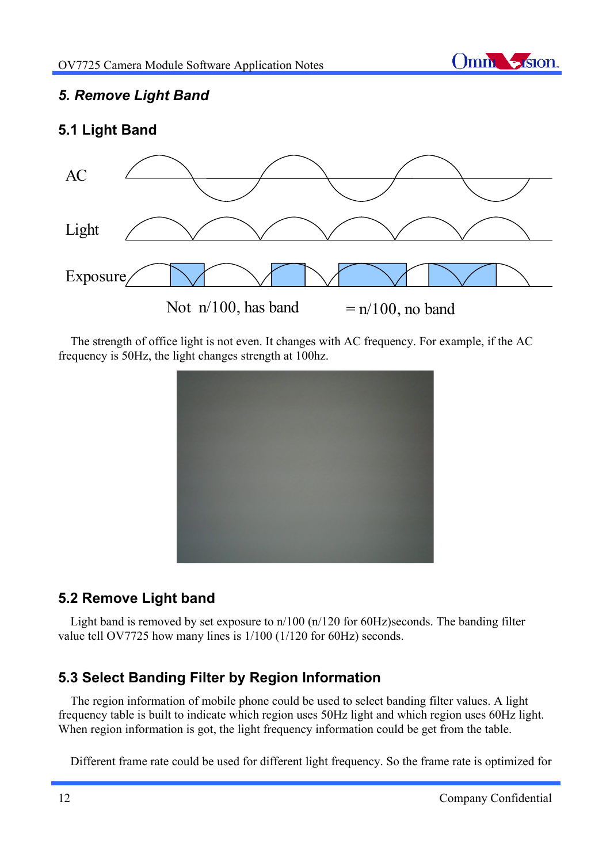

# *5. Remove Light Band*

# **5.1 Light Band**



 The strength of office light is not even. It changes with AC frequency. For example, if the AC frequency is 50Hz, the light changes strength at 100hz.



# **5.2 Remove Light band**

 Light band is removed by set exposure to n/100 (n/120 for 60Hz)seconds. The banding filter value tell OV7725 how many lines is 1/100 (1/120 for 60Hz) seconds.

# **5.3 Select Banding Filter by Region Information**

 The region information of mobile phone could be used to select banding filter values. A light frequency table is built to indicate which region uses 50Hz light and which region uses 60Hz light. When region information is got, the light frequency information could be get from the table.

Different frame rate could be used for different light frequency. So the frame rate is optimized for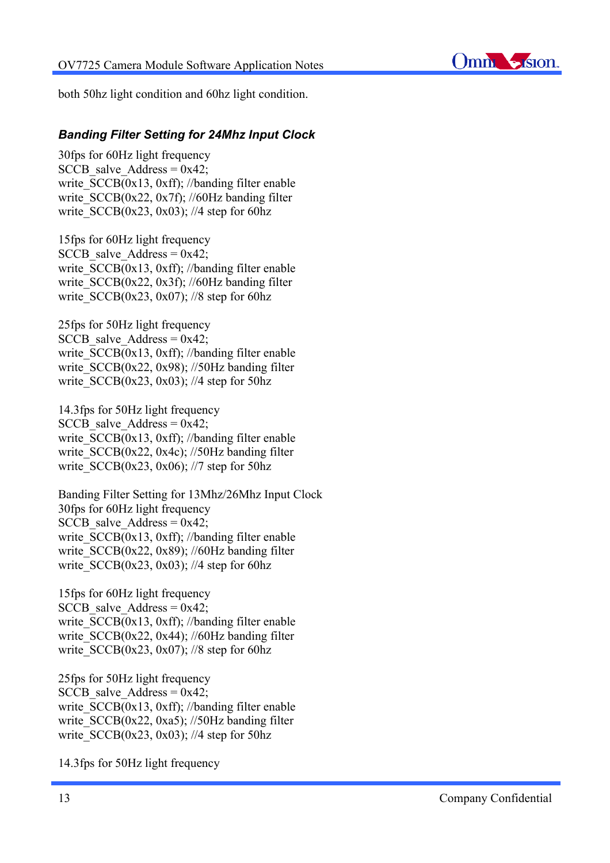

both 50hz light condition and 60hz light condition.

#### *Banding Filter Setting for 24Mhz Input Clock*

30fps for 60Hz light frequency SCCB salve Address =  $0x42$ ; write  $SCCB(0x13, 0xf)$ ; //banding filter enable write  $SCCB(0x22, 0x7f)$ ; //60Hz banding filter write  $SCCB(0x23, 0x03)$ ; //4 step for 60hz

15fps for 60Hz light frequency SCCB salve Address =  $0x42$ ; write  $SCCB(0x13, 0xff)$ ; //banding filter enable write  $SCCB(0x22, 0x3f)$ ; //60Hz banding filter write  $SCCB(0x23, 0x07)$ ; //8 step for 60hz

25fps for 50Hz light frequency SCCB salve Address =  $0x42$ ; write  $SCCB(0x13, 0xff)$ ; //banding filter enable write  $SCCB(0x22, 0x98)$ ; //50Hz banding filter write SCCB(0x23, 0x03); //4 step for 50hz

14.3fps for 50Hz light frequency SCCB salve Address =  $0x42$ ; write  $SCCB(0x13, 0xff)$ ; //banding filter enable write SCCB(0x22, 0x4c); //50Hz banding filter write SCCB(0x23, 0x06); //7 step for 50hz

Banding Filter Setting for 13Mhz/26Mhz Input Clock 30fps for 60Hz light frequency SCCB salve Address =  $0x42$ ; write  $SCCB(0x13, 0xff)$ ; //banding filter enable write  $SCCB(0x22, 0x89)$ ; //60Hz banding filter write  $SCCB(0x23, 0x03)$ ; //4 step for 60hz

15fps for 60Hz light frequency SCCB salve Address =  $0x42$ ; write  $SCCB(0x13, 0xff)$ ; //banding filter enable write  $SCCB(0x22, 0x44)$ ; //60Hz banding filter write  $SCCB(0x23, 0x07)$ ; //8 step for 60hz

25fps for 50Hz light frequency SCCB salve Address =  $0x42$ ; write  $SCCB(0x13, 0xff)$ ; //banding filter enable write  $SCCB(0x22, 0xa5)$ ; //50Hz banding filter write  $SCCB(0x23, 0x03)$ ; //4 step for 50hz

14.3fps for 50Hz light frequency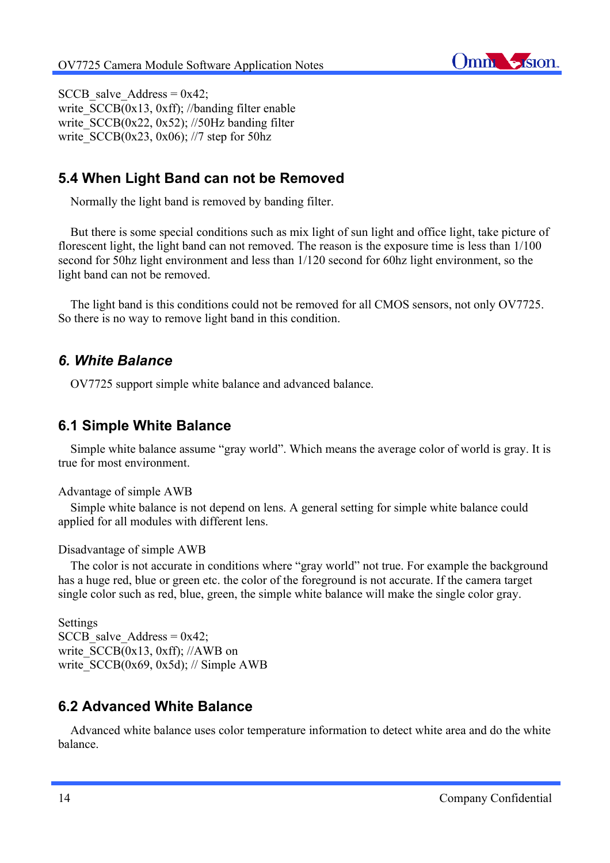

SCCB salve Address =  $0x42$ ; write  $SCCB(0x13, 0xff)$ ; //banding filter enable write  $SCCB(0x22, 0x52)$ ; //50Hz banding filter write  $SCCB(0x23, 0x06)$ ; //7 step for 50hz

# **5.4 When Light Band can not be Removed**

Normally the light band is removed by banding filter.

 But there is some special conditions such as mix light of sun light and office light, take picture of florescent light, the light band can not removed. The reason is the exposure time is less than 1/100 second for 50hz light environment and less than 1/120 second for 60hz light environment, so the light band can not be removed.

 The light band is this conditions could not be removed for all CMOS sensors, not only OV7725. So there is no way to remove light band in this condition.

### *6. White Balance*

OV7725 support simple white balance and advanced balance.

### **6.1 Simple White Balance**

 Simple white balance assume "gray world". Which means the average color of world is gray. It is true for most environment.

#### Advantage of simple AWB

 Simple white balance is not depend on lens. A general setting for simple white balance could applied for all modules with different lens.

#### Disadvantage of simple AWB

 The color is not accurate in conditions where "gray world" not true. For example the background has a huge red, blue or green etc. the color of the foreground is not accurate. If the camera target single color such as red, blue, green, the simple white balance will make the single color gray.

Settings SCCB salve Address =  $0x42$ ; write  $SCCB(0x13, 0xff)$ ; //AWB on write  $SCCB(0x69, 0x5d)$ ; // Simple AWB

# **6.2 Advanced White Balance**

 Advanced white balance uses color temperature information to detect white area and do the white balance.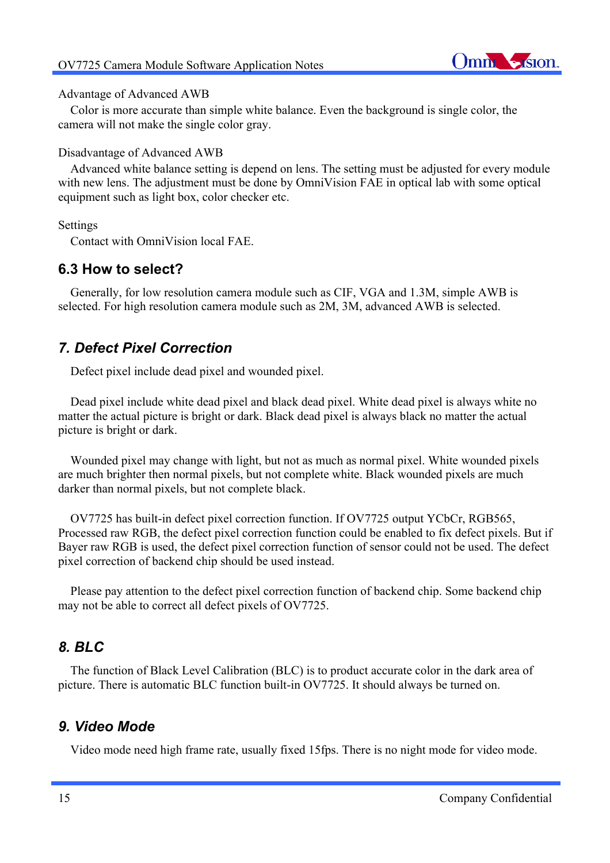

#### Advantage of Advanced AWB

 Color is more accurate than simple white balance. Even the background is single color, the camera will not make the single color gray.

#### Disadvantage of Advanced AWB

 Advanced white balance setting is depend on lens. The setting must be adjusted for every module with new lens. The adjustment must be done by OmniVision FAE in optical lab with some optical equipment such as light box, color checker etc.

Settings

Contact with OmniVision local FAE.

### **6.3 How to select?**

 Generally, for low resolution camera module such as CIF, VGA and 1.3M, simple AWB is selected. For high resolution camera module such as 2M, 3M, advanced AWB is selected.

# *7. Defect Pixel Correction*

Defect pixel include dead pixel and wounded pixel.

 Dead pixel include white dead pixel and black dead pixel. White dead pixel is always white no matter the actual picture is bright or dark. Black dead pixel is always black no matter the actual picture is bright or dark.

 Wounded pixel may change with light, but not as much as normal pixel. White wounded pixels are much brighter then normal pixels, but not complete white. Black wounded pixels are much darker than normal pixels, but not complete black.

 OV7725 has built-in defect pixel correction function. If OV7725 output YCbCr, RGB565, Processed raw RGB, the defect pixel correction function could be enabled to fix defect pixels. But if Bayer raw RGB is used, the defect pixel correction function of sensor could not be used. The defect pixel correction of backend chip should be used instead.

 Please pay attention to the defect pixel correction function of backend chip. Some backend chip may not be able to correct all defect pixels of OV7725.

# *8. BLC*

 The function of Black Level Calibration (BLC) is to product accurate color in the dark area of picture. There is automatic BLC function built-in OV7725. It should always be turned on.

### *9. Video Mode*

Video mode need high frame rate, usually fixed 15fps. There is no night mode for video mode.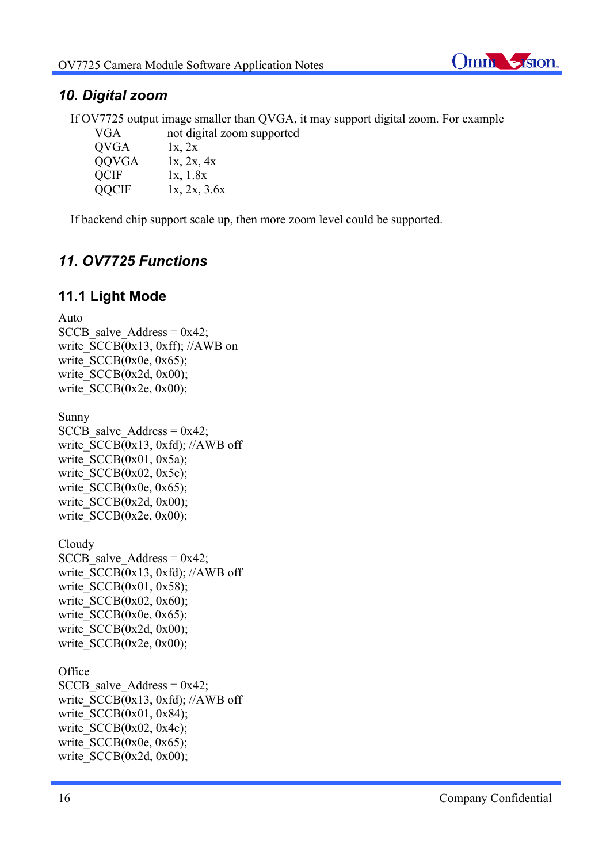

## *10. Digital zoom*

 If OV7725 output image smaller than QVGA, it may support digital zoom. For example not digital zoom supported

| V U.A        | not digital z |
|--------------|---------------|
| QVGA         | 1x, 2x        |
| <b>QOVGA</b> | 1x, 2x, 4x    |
| <b>QCIF</b>  | 1x, 1.8x      |
| <b>QQCIF</b> | 1x, 2x, 3.6x  |

If backend chip support scale up, then more zoom level could be supported.

# *11. OV7725 Functions*

# **11.1 Light Mode**

Auto SCCB salve Address =  $0x42$ ; write  $SCCB(0x13, 0xff)$ ; //AWB on write  $SCCB(0x0e, 0x65);$ write  $SCCB(0x2d, 0x00)$ ; write  $SCCB(0x2e, 0x00);$ Sunny SCCB salve Address =  $0x42$ ; write  $SCCB(0x13, 0xfd)$ ; //AWB off write  $SCCB(0x01, 0x5a);$ write  $SCCB(0x02, 0x5c)$ ; write  $SCCB(0x0e, 0x65)$ ;

write  $SCCB(0x2d, 0x00)$ ; write  $SCCB(0x2e, 0x00);$ 

Cloudy SCCB salve Address =  $0x42$ ; write  $SCCB(0x13, 0xfd)$ ; //AWB off write  $SCCB(0x01, 0x58);$ write  $SCCB(0x02, 0x60)$ ; write  $SCCB(0x0e, 0x65)$ ; write  $SCCB(0x2d, 0x00)$ ; write  $SCCB(0x2e, 0x00);$ 

**Office** SCCB salve Address =  $0x42$ ; write  $SCCB(0x13, 0xfd)$ ; //AWB off write  $SCCB(0x01, 0x84);$ write  $SCCB(0x02, 0x4c)$ ; write  $SCCB(0x0e, 0x65);$ write  $SCCB(0x2d, 0x00)$ ;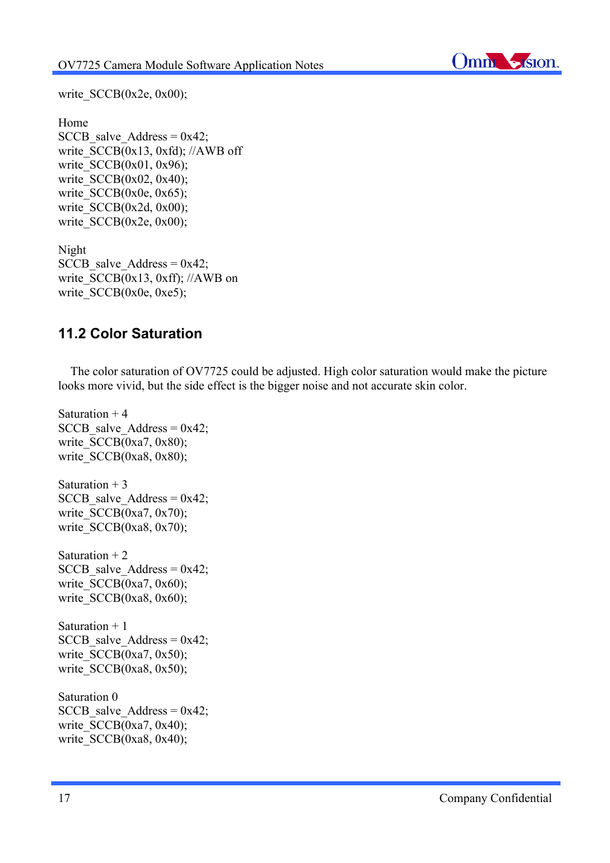

write\_SCCB(0x2e, 0x00);

```
Home
SCCB salve Address = 0x42;
write SCCB(0x13, 0xfd); //AWB off
write SCCB(0x01, 0x96);
write SCCB(0x02, 0x40);
write SCCB(0x0e, 0x65);write SCCB(0x2d, 0x00);
write SCCB(0x2e, 0x00);
```

```
Night
SCCB salve Address = 0x42;
write SCCB(0x13, 0xff); //AWB on
write SCCB(0x0e, 0xe5);
```
# **11.2 Color Saturation**

 The color saturation of OV7725 could be adjusted. High color saturation would make the picture looks more vivid, but the side effect is the bigger noise and not accurate skin color.

```
Saturation +4SCCB salve Address = 0x42;
write SCCB(0xa7, 0x80);write SCCB(0xa8, 0x80);
Saturation +3SCCB salve Address = 0x42;
write SCCB(0xa7, 0x70);
write SCCB(0xa8, 0x70);
Saturation +2SCCB salve Address = 0x42;
write SCCB(0xa7, 0x60);
write SCCB(0xa8, 0x60);
Saturation + 1
SCCB salve Address = 0x42;
write SCCB(0xa7, 0x50);
write SCCB(0xa8, 0x50);
Saturation 0
SCCB salve Address = 0x42;
write SCCB(0xa7, 0x40);
write SCCB(0xa8, 0x40);
```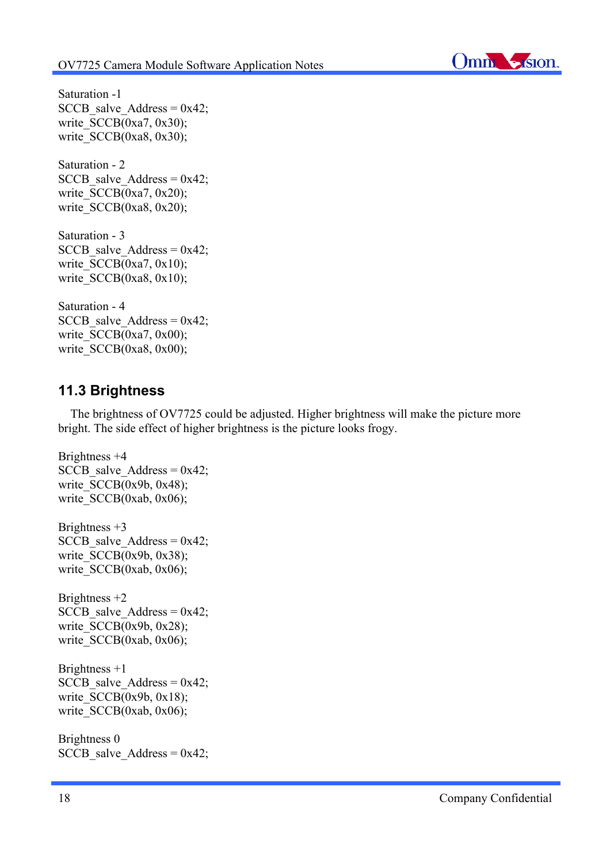

Saturation -1 SCCB salve Address =  $0x42$ ; write  $SCCB(0xa7, 0x30)$ ; write  $SCCB(0xa8, 0x30)$ ;

Saturation - 2 SCCB salve Address =  $0x42$ ; write  $SCCB(0xa7, 0x20)$ ; write  $SCCB(0xa8, 0x20)$ ;

Saturation - 3 SCCB salve Address =  $0x42$ ; write  $SCCB(0xa7, 0x10)$ ; write  $SCCB(0xa8, 0x10);$ 

Saturation - 4 SCCB salve Address =  $0x42$ ; write  $SCCB(0xa7, 0x00)$ ; write SCCB(0xa8, 0x00);

### **11.3 Brightness**

 The brightness of OV7725 could be adjusted. Higher brightness will make the picture more bright. The side effect of higher brightness is the picture looks frogy.

```
Brightness +4
SCCB salve Address = 0x42;
write SCCB(0x9b, 0x48);write SCCB(0xab, 0x06);
Brightness +3SCCB salve Address = 0x42;
write SCCB(0x9b, 0x38);write SCCB(0xab, 0x06);
Brightness +2
SCCB salve Address = 0x42;
write SCCB(0x9b, 0x28);write SCCB(0xab, 0x06);
Brightness +1
SCCB salve Address = 0x42;
write SCCB(0x9b, 0x18);write SCCB(0xab, 0x06);
Brightness 0
SCCB salve Address = 0x42;
```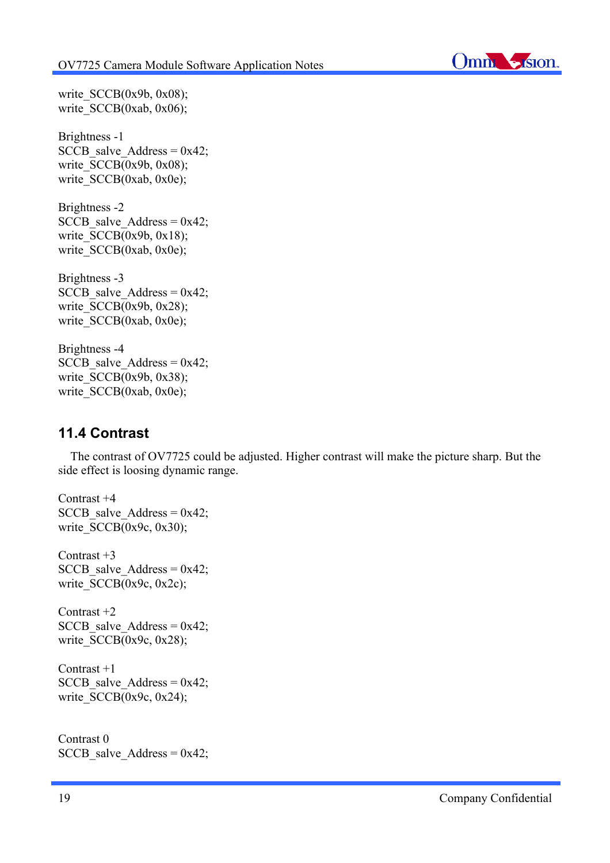

write  $SCCB(0x9b, 0x08);$ write  $SCCB(0xab, 0x06)$ ;

Brightness -1 SCCB salve Address =  $0x42$ ; write  $SCCB(0x9b, 0x08);$ write SCCB(0xab, 0x0e);

Brightness -2 SCCB salve Address =  $0x42$ ; write  $SCCB(0x9b, 0x18);$ write SCCB(0xab, 0x0e);

Brightness -3 SCCB salve Address =  $0x42$ ; write  $SCCB(0x9b, 0x28);$ write SCCB(0xab, 0x0e);

Brightness -4  $SCCB$  salve  $Address = 0x42$ ; write  $SCCB(0x9b, 0x38);$ write SCCB(0xab, 0x0e);

## **11.4 Contrast**

 The contrast of OV7725 could be adjusted. Higher contrast will make the picture sharp. But the side effect is loosing dynamic range.

Contrast +4 SCCB salve Address =  $0x42$ ; write  $SCCB(0x9c, 0x30);$ Contrast +3 SCCB salve Address =  $0x42$ ; write  $SCCB(0x9c, 0x2c)$ ; Contrast +2 SCCB salve Address =  $0x42$ ; write  $SCCB(0x9c, 0x28);$ Contrast +1 SCCB salve Address =  $0x42$ ;

write  $SCCB(0x9c, 0x24);$ 

Contrast 0  $SCCB$  salve  $Address = 0x42$ ;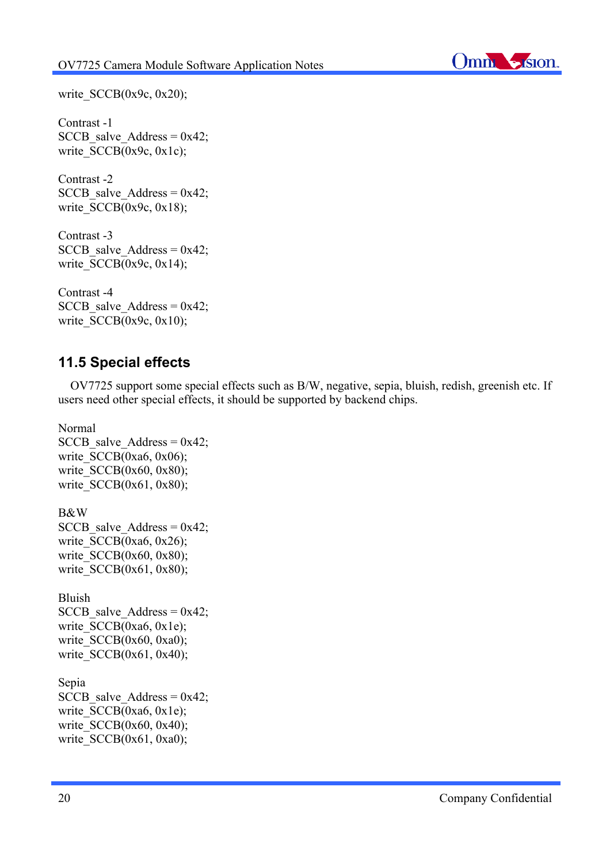

write  $SCCB(0x9c, 0x20)$ ;

Contrast -1 SCCB salve Address =  $0x42$ ; write SCCB(0x9c, 0x1c);

Contrast -2 SCCB salve Address =  $0x42$ ; write  $SCCB(0x9c, 0x18);$ 

Contrast -3 SCCB salve Address =  $0x42$ ; write  $SCCB(0x9c, 0x14)$ ;

Contrast -4 SCCB salve Address =  $0x42$ ; write  $SCCB(0x9c, 0x10)$ ;

### **11.5 Special effects**

 OV7725 support some special effects such as B/W, negative, sepia, bluish, redish, greenish etc. If users need other special effects, it should be supported by backend chips.

Normal SCCB salve Address =  $0x42$ ; write  $SCCB(0xa6, 0x06);$ write  $SCCB(0x60, 0x80)$ ; write  $SCCB(0x61, 0x80);$ B&W SCCB salve Address =  $0x42$ ; write  $SCCB(0xa6, 0x26)$ ; write SCCB(0x60, 0x80); write  $SCCB(0x61, 0x80)$ ; Bluish SCCB salve Address =  $0x42$ ; write  $SCCB(0xa6, 0x1e)$ ; write  $SCCB(0x60, 0xa0)$ ; write  $SCCB(0x61, 0x40);$ Sepia SCCB salve Address =  $0x42$ ; write SCCB(0xa6, 0x1e); write  $SCCB(0x60, 0x40)$ ; write  $SCCB(0x61, 0xa0)$ ;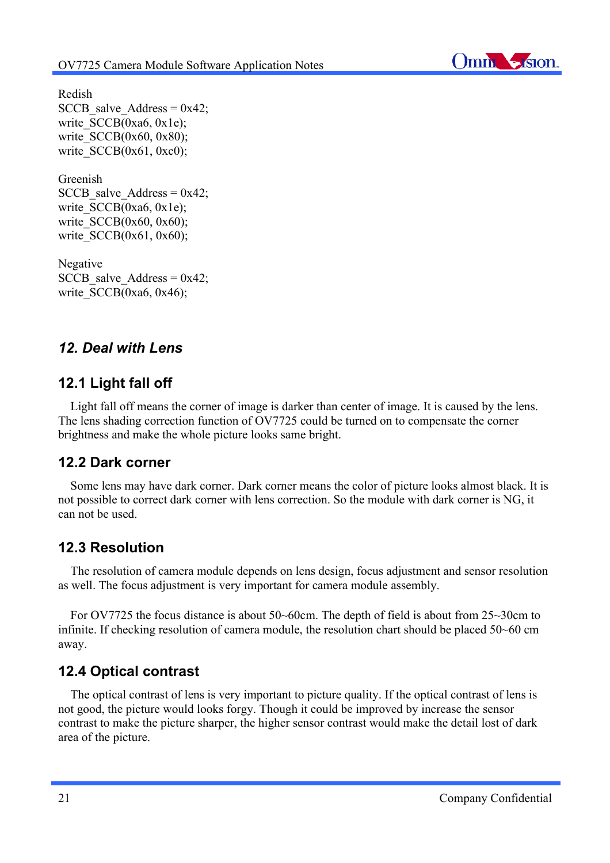

Redish SCCB salve Address =  $0x42$ ; write SCCB(0xa6, 0x1e); write  $SCCB(0x60, 0x80);$ write  $SCCB(0x61, 0xc0)$ ;

Greenish SCCB salve Address =  $0x42$ ; write SCCB(0xa6, 0x1e); write  $SCCB(0x60, 0x60)$ ; write SCCB(0x61, 0x60);

Negative SCCB salve Address =  $0x42$ ; write  $SCCB(0xa6, 0x46);$ 

# *12. Deal with Lens*

# **12.1 Light fall off**

 Light fall off means the corner of image is darker than center of image. It is caused by the lens. The lens shading correction function of OV7725 could be turned on to compensate the corner brightness and make the whole picture looks same bright.

# **12.2 Dark corner**

 Some lens may have dark corner. Dark corner means the color of picture looks almost black. It is not possible to correct dark corner with lens correction. So the module with dark corner is NG, it can not be used.

# **12.3 Resolution**

 The resolution of camera module depends on lens design, focus adjustment and sensor resolution as well. The focus adjustment is very important for camera module assembly.

 For OV7725 the focus distance is about 50~60cm. The depth of field is about from 25~30cm to infinite. If checking resolution of camera module, the resolution chart should be placed 50~60 cm away.

# **12.4 Optical contrast**

 The optical contrast of lens is very important to picture quality. If the optical contrast of lens is not good, the picture would looks forgy. Though it could be improved by increase the sensor contrast to make the picture sharper, the higher sensor contrast would make the detail lost of dark area of the picture.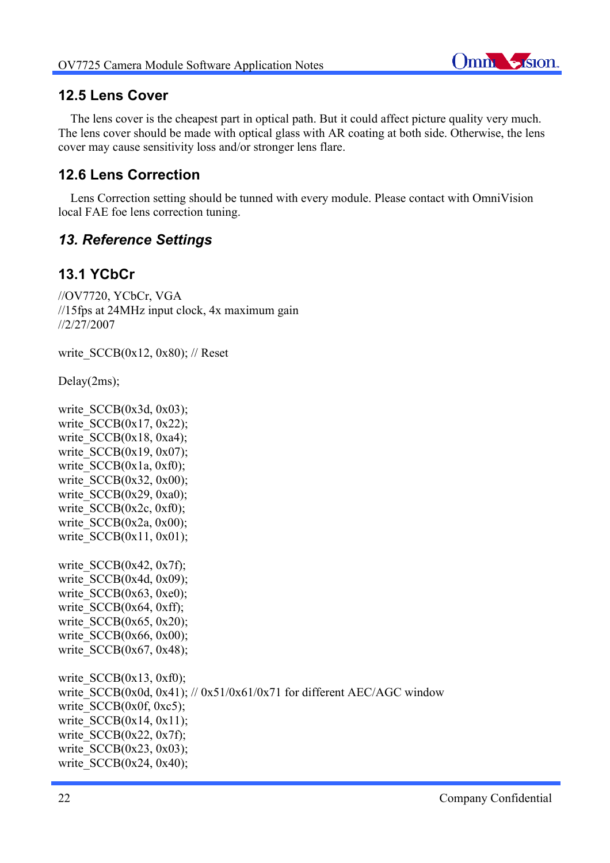

## **12.5 Lens Cover**

 The lens cover is the cheapest part in optical path. But it could affect picture quality very much. The lens cover should be made with optical glass with AR coating at both side. Otherwise, the lens cover may cause sensitivity loss and/or stronger lens flare.

# **12.6 Lens Correction**

 Lens Correction setting should be tunned with every module. Please contact with OmniVision local FAE foe lens correction tuning.

# *13. Reference Settings*

# **13.1 YCbCr**

//OV7720, YCbCr, VGA //15fps at 24MHz input clock, 4x maximum gain //2/27/2007

write  $SCCB(0x12, 0x80)$ ; // Reset

Delay(2ms);

write  $SCCB(0x3d, 0x03)$ ; write  $SCCB(0x17, 0x22)$ ; write  $SCCB(0x18, 0xa4);$ write  $SCCB(0x19, 0x07);$ write  $SCCB(0x1a, 0xf0);$ write  $SCCB(0x32, 0x00)$ ; write  $SCCB(0x29, 0xa0)$ ; write  $SCCB(0x2c, 0xf0);$ write  $SCCB(0x2a, 0x00)$ ; write  $SCCB(0x11, 0x01);$ write  $SCCB(0x42, 0x7f)$ ; write  $SCCB(0x4d, 0x09)$ ; write  $SCCB(0x63, 0xe0)$ ; write  $SCCB(0x64, 0xff);$ write  $SCCB(0x65, 0x20)$ ; write  $SCCB(0x66, 0x00)$ ; write  $SCCB(0x67, 0x48);$ write  $SCCB(0x13, 0xf0)$ ; write SCCB(0x0d, 0x41); // 0x51/0x61/0x71 for different AEC/AGC window write  $SCCB(0x0f, 0xc5);$ write  $SCCB(0x14, 0x11);$ write  $SCCB(0x22, 0x7f)$ ;

write  $SCCB(0x24, 0x40);$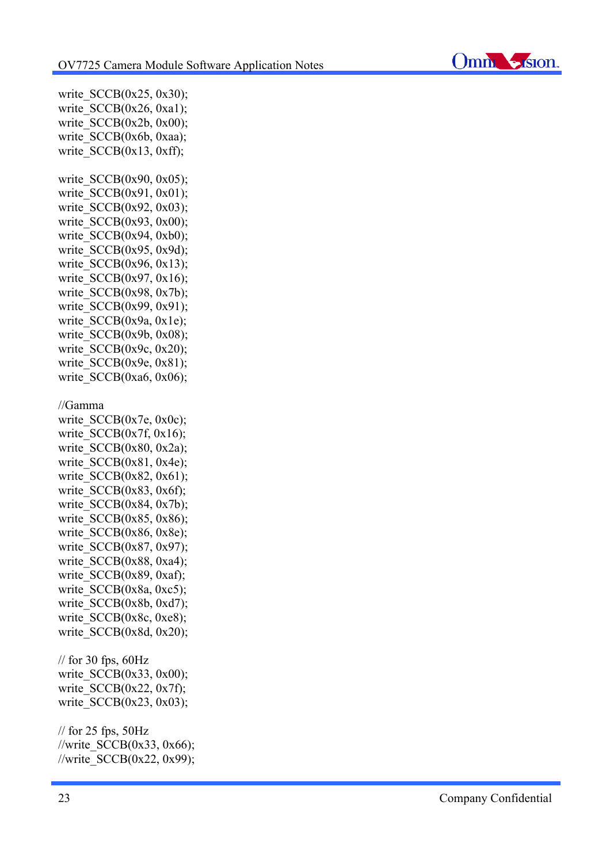

write  $SCCB(0x25, 0x30)$ ; write  $SCCB(0x26, 0xa1);$ write  $SCCB(0x2b, 0x00)$ ; write\_SCCB(0x6b, 0xaa); write  $SCCB(0x13, 0xff);$ write  $SCCB(0x90, 0x05)$ ; write  $SCCB(0x91, 0x01)$ ; write  $SCCB(0x92, 0x03)$ ; write  $SCCB(0x93, 0x00)$ ; write  $SCCB(0x94, 0xb0)$ ; write  $SCCB(0x95, 0x9d)$ ; write  $SCCB(0x96, 0x13)$ ; write  $SCCB(0x97, 0x16)$ ; write  $SCCB(0x98, 0x7b)$ ; write SCCB(0x99, 0x91); write  $SCCB(0x9a, 0x1e)$ ; write  $SCCB(0x9b, 0x08)$ ; write  $SCCB(0x9c, 0x20)$ ; write  $SCCB(0x9e, 0x81);$ write  $SCCB(0xa6, 0x06)$ ; //Gamma write SCCB(0x7e, 0x0c); write  $SCCB(0x7f, 0x16);$ write  $SCCB(0x80, 0x2a)$ ; write  $SCCB(0x81, 0x4e)$ ; write  $SCCB(0x82, 0x61);$ write  $SCCB(0x83, 0x6f)$ ; write  $SCCB(0x84, 0x7b)$ ; write  $SCCB(0x85, 0x86);$ write  $SCCB(0x86, 0x8e)$ ; write SCCB(0x87, 0x97); write  $SCCB(0x88, 0xa4);$ write  $SCCB(0x89, 0xaf);$ write SCCB(0x8a, 0xc5); write  $SCCB(0x8b, 0xd7)$ ; write\_SCCB(0x8c, 0xe8); write  $SCCB(0x8d, 0x20)$ ;  $\frac{1}{\sqrt{2}}$  for 30 fps, 60Hz write  $SCCB(0x33, 0x00)$ ; write  $SCCB(0x22, 0x7f)$ ; write  $SCCB(0x23, 0x03)$ ; // for 25 fps, 50Hz //write SCCB(0x33, 0x66); //write SCCB(0x22, 0x99);